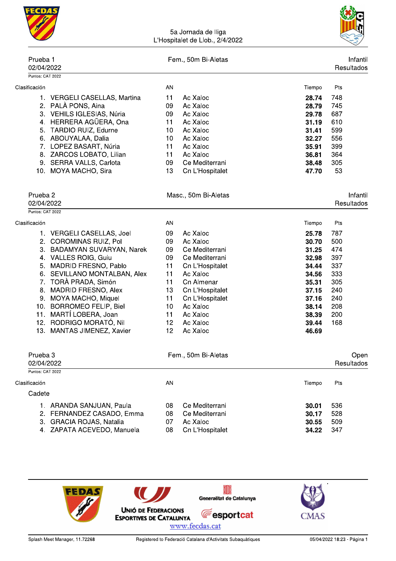| H                                                                                                                                                                                                                                                                                                                                                                     |                                                                            | 5a Jornada de Iliga<br>L'Hospitalet de Llob., 2/4/2022                                                                                                                                      |                                                                                                                   |                                                                                  |
|-----------------------------------------------------------------------------------------------------------------------------------------------------------------------------------------------------------------------------------------------------------------------------------------------------------------------------------------------------------------------|----------------------------------------------------------------------------|---------------------------------------------------------------------------------------------------------------------------------------------------------------------------------------------|-------------------------------------------------------------------------------------------------------------------|----------------------------------------------------------------------------------|
| Prueba 1<br>02/04/2022                                                                                                                                                                                                                                                                                                                                                |                                                                            | Fem., 50m Bi-Aletas                                                                                                                                                                         |                                                                                                                   | Infantil<br>Resultados                                                           |
| Puntos: CAT 2022                                                                                                                                                                                                                                                                                                                                                      |                                                                            |                                                                                                                                                                                             |                                                                                                                   |                                                                                  |
| Clasificación                                                                                                                                                                                                                                                                                                                                                         | AN                                                                         |                                                                                                                                                                                             | Tiempo                                                                                                            | Pts                                                                              |
| 1. VERGELI CASELLAS, Martina<br>2. PALÀ PONS, Aina<br>3. VEHILS IGLESIAS, Núria<br>4. HERRERA AGÜERA, Ona<br>5. TARDIO RUIZ, Edurne<br>6. ABOUYALAA, Dalia<br>7. LOPEZ BASART, Núria<br>8. ZARCOS LOBATO, Lilian<br>9. SERRA VALLS, Carlota                                                                                                                           | 11<br>09<br>09<br>11<br>10<br>10<br>11<br>11<br>09                         | Ac Xaloc<br>Ac Xaloc<br>Ac Xaloc<br>Ac Xaloc<br>Ac Xaloc<br>Ac Xaloc<br>Ac Xaloc<br>Ac Xaloc<br>Ce Mediterrani                                                                              | 28.74<br>28.79<br>29.78<br>31.19<br>31.41<br>32.27<br>35.91<br>36.81<br>38.48                                     | 748<br>745<br>687<br>610<br>599<br>556<br>399<br>364<br>305                      |
| 10. MOYA MACHO, Sira<br>Prueba <sub>2</sub><br>02/04/2022<br>Puntos: CAT 2022                                                                                                                                                                                                                                                                                         | 13                                                                         | Cn L'Hospitalet<br>Masc., 50m Bi-Aletas                                                                                                                                                     | 47.70                                                                                                             | 53<br>Infantil<br>Resultados                                                     |
| Clasificación                                                                                                                                                                                                                                                                                                                                                         | ΑN                                                                         |                                                                                                                                                                                             | Tiempo                                                                                                            | Pts                                                                              |
| 1. VERGELI CASELLAS, Joel<br>2. COROMINAS RUIZ, Pol<br>3. BADAMYAN SUVARYAN, Narek<br>4. VALLES ROIG, Guiu<br>5. MADRID FRESNO, Pablo<br>6. SEVILLANO MONTALBAN, Alex<br>7. TORÀ PRADA, Simón<br>MADRID FRESNO, Alex<br>8.<br>9.<br>MOYA MACHO, Miquel<br>10. BORROMEO FELIP, Biel<br>11. MARTÍ LOBERA, Joan<br>12. RODRIGO MORATÓ, Nil<br>13. MANTAS JIMENEZ, Xavier | 09<br>09<br>09<br>09<br>11<br>11<br>11<br>13<br>11<br>10<br>11<br>12<br>12 | Ac Xaloc<br>Ac Xaloc<br>Ce Mediterrani<br>Ce Mediterrani<br>Cn L'Hospitalet<br>Ac Xaloc<br>Cn Almenar<br>Cn L'Hospitalet<br>Cn L'Hospitalet<br>Ac Xaloc<br>Ac Xaloc<br>Ac Xaloc<br>Ac Xaloc | 25.78<br>30.70<br>31.25<br>32.98<br>34.44<br>34.56<br>35.31<br>37.15<br>37.16<br>38.14<br>38.39<br>39.44<br>46.69 | 787<br>500<br>474<br>397<br>337<br>333<br>305<br>240<br>240<br>208<br>200<br>168 |
| Prueba <sub>3</sub><br>02/04/2022                                                                                                                                                                                                                                                                                                                                     |                                                                            | Fem., 50m Bi-Aletas                                                                                                                                                                         |                                                                                                                   | Open<br>Resultados                                                               |
| Puntos: CAT 2022                                                                                                                                                                                                                                                                                                                                                      |                                                                            |                                                                                                                                                                                             |                                                                                                                   |                                                                                  |
| Clasificación                                                                                                                                                                                                                                                                                                                                                         | AN                                                                         |                                                                                                                                                                                             | Tiempo                                                                                                            | Pts                                                                              |
| Cadete                                                                                                                                                                                                                                                                                                                                                                |                                                                            |                                                                                                                                                                                             |                                                                                                                   |                                                                                  |
| 1. ARANDA SANJUAN, Paula<br>2. FERNANDEZ CASADO, Emma<br>3. GRACIA ROJAS, Natalia<br>4. ZAPATA ACEVEDO, Manuela                                                                                                                                                                                                                                                       | 08<br>08<br>07<br>08                                                       | Ce Mediterrani<br>Ce Mediterrani<br>Ac Xaloc<br>Cn L'Hospitalet                                                                                                                             | 30.01<br>30.17<br>30.55<br>34.22                                                                                  | 536<br>528<br>509<br>347                                                         |

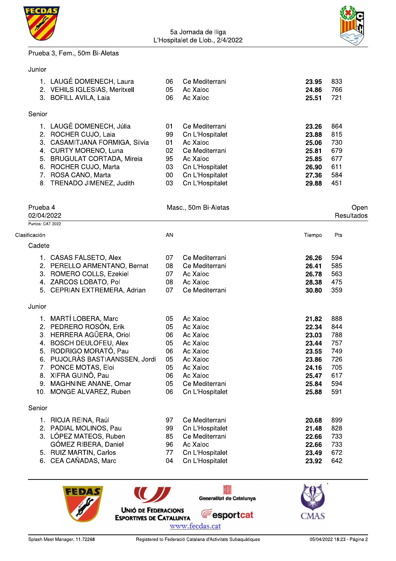



#### Prueba 3, Fem., 50m Bi-Aletas

#### Junior

|                        | 1. LAUGÉ DOMENECH, Laura<br>2. VEHILS IGLESIAS, Meritxell<br>3. BOFILL AVILA, Laia                                                                                                                                       | 06<br>05<br>06                                   | Ce Mediterrani<br>Ac Xaloc<br>Ac Xaloc                                                                                               | 23.95<br>24.86<br>25.51                                              | 833<br>766<br>721                                    |
|------------------------|--------------------------------------------------------------------------------------------------------------------------------------------------------------------------------------------------------------------------|--------------------------------------------------|--------------------------------------------------------------------------------------------------------------------------------------|----------------------------------------------------------------------|------------------------------------------------------|
| Senior                 |                                                                                                                                                                                                                          |                                                  |                                                                                                                                      |                                                                      |                                                      |
|                        | 1. LAUGÉ DOMENECH, Júlia<br>2. ROCHER CUJO, Laia<br>3. CASAMITJANA FORMIGA, Silvia<br>4. CURTY MORENO, Luna<br>5. BRUGULAT CORTADA, Mireia<br>6. ROCHER CUJO, Marta<br>7. ROSA CANO, Marta<br>8. TRENADO JIMENEZ, Judith | 01<br>99<br>01<br>02<br>95<br>03<br>$00\,$<br>03 | Ce Mediterrani<br>Cn L'Hospitalet<br>Ac Xaloc<br>Ce Mediterrani<br>Ac Xaloc<br>Cn L'Hospitalet<br>Cn L'Hospitalet<br>Cn L'Hospitalet | 23.26<br>23.88<br>25.06<br>25.81<br>25.85<br>26.90<br>27.36<br>29.88 | 864<br>815<br>730<br>679<br>677<br>611<br>584<br>451 |
| Prueba 4<br>02/04/2022 |                                                                                                                                                                                                                          |                                                  | Masc., 50m Bi-Aletas                                                                                                                 |                                                                      | Open<br>Resultados                                   |
| Puntos: CAT 2022       |                                                                                                                                                                                                                          |                                                  |                                                                                                                                      |                                                                      |                                                      |
| Clasificación          |                                                                                                                                                                                                                          | AN                                               |                                                                                                                                      | Tiempo                                                               | Pts                                                  |
| Cadete                 |                                                                                                                                                                                                                          |                                                  |                                                                                                                                      |                                                                      |                                                      |
|                        | 1. CASAS FALSETO, Alex                                                                                                                                                                                                   | 07                                               | Ce Mediterrani                                                                                                                       | 26.26                                                                | 594                                                  |
|                        | 2. PERELLO ARMENTANO, Bernat                                                                                                                                                                                             | 08                                               | Ce Mediterrani                                                                                                                       | 26.41                                                                | 585                                                  |
|                        | 3. ROMERO COLLS, Ezekiel<br>4. ZARCOS LOBATO, Pol                                                                                                                                                                        | 07<br>08                                         | Ac Xaloc<br>Ac Xaloc                                                                                                                 | 26.78<br>28.38                                                       | 563<br>475                                           |
|                        | 5. CEPRIAN EXTREMERA, Adrian                                                                                                                                                                                             | 07                                               | Ce Mediterrani                                                                                                                       | 30.80                                                                | 359                                                  |
| Junior                 |                                                                                                                                                                                                                          |                                                  |                                                                                                                                      |                                                                      |                                                      |
|                        | 1. MARTÍ LOBERA, Marc                                                                                                                                                                                                    | 05                                               | Ac Xaloc                                                                                                                             | 21.82                                                                | 888                                                  |
|                        | 2. PEDRERO ROSÓN, Erik                                                                                                                                                                                                   | 05                                               | Ac Xaloc                                                                                                                             | 22.34                                                                | 844                                                  |
|                        | 3. HERRERA AGÜERA, Oriol                                                                                                                                                                                                 | 06                                               | Ac Xaloc                                                                                                                             | 23.03                                                                | 788                                                  |
|                        | 4. BOSCH DEULOFEU, Alex                                                                                                                                                                                                  | 05                                               | Ac Xaloc                                                                                                                             | 23.44                                                                | 757                                                  |
|                        | 5. RODRIGO MORATÓ, Pau                                                                                                                                                                                                   | 06                                               | Ac Xaloc                                                                                                                             | 23.55                                                                | 749                                                  |
|                        | 6. PUJOLRÀS BASTIAANSSEN, Jordi<br>7. PONCE MOTAS, Eloi                                                                                                                                                                  | 05<br>05                                         | Ac Xaloc<br>Ac Xaloc                                                                                                                 | 23.86                                                                | 726<br>705                                           |
|                        | 8. XIFRA GUINO, Pau                                                                                                                                                                                                      | 06                                               | Ac Xaloc                                                                                                                             | 24.16<br>25.47                                                       | 617                                                  |
| 9.                     | MAGHNINE ANANE, Omar                                                                                                                                                                                                     | 05                                               | Ce Mediterrani                                                                                                                       | 25.84                                                                | 594                                                  |
| 10.                    | MONGE ALVAREZ, Ruben                                                                                                                                                                                                     | 06                                               | Cn L'Hospitalet                                                                                                                      | 25.88                                                                | 591                                                  |
| Senior                 |                                                                                                                                                                                                                          |                                                  |                                                                                                                                      |                                                                      |                                                      |
|                        | 1. RIOJA REINA, Raúl                                                                                                                                                                                                     | 97                                               | Ce Mediterrani                                                                                                                       | 20.68                                                                | 899                                                  |
|                        | 2. PADIAL MOLINOS, Pau                                                                                                                                                                                                   | 99                                               | Cn L'Hospitalet                                                                                                                      | 21.48                                                                | 828                                                  |
|                        | 3. LÓPEZ MATEOS, Ruben                                                                                                                                                                                                   | 85                                               | Ce Mediterrani                                                                                                                       | 22.66                                                                | 733                                                  |
|                        | GÓMEZ RIBERA, Daniel                                                                                                                                                                                                     | 96                                               | Ac Xaloc                                                                                                                             | 22.66                                                                | 733                                                  |
|                        | 5. RUIZ MARTIN, Carlos<br>6. CEA CAÑADAS, Marc                                                                                                                                                                           | 77<br>04                                         | Cn L'Hospitalet<br>Cn L'Hospitalet                                                                                                   | 23.49<br>23.92                                                       | 672<br>642                                           |
|                        |                                                                                                                                                                                                                          |                                                  |                                                                                                                                      |                                                                      |                                                      |

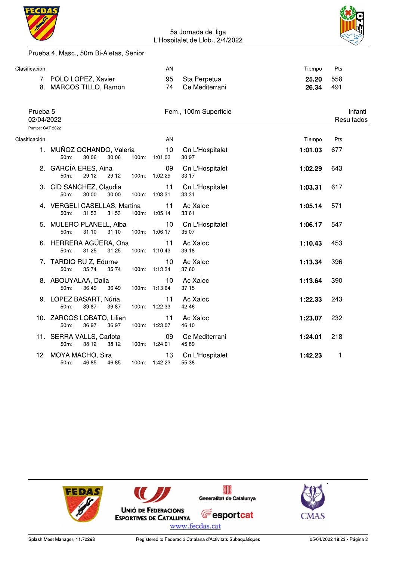



#### Prueba 4, Masc., 50m Bi-Aletas, Senior

| Clasificación                     |                                                        | AN                               |                                | Tiempo         | Pts                    |
|-----------------------------------|--------------------------------------------------------|----------------------------------|--------------------------------|----------------|------------------------|
|                                   | 7. POLO LOPEZ, Xavier<br>8. MARCOS TILLO, Ramon        | 95<br>74                         | Sta Perpetua<br>Ce Mediterrani | 25.20<br>26.34 | 558<br>491             |
| Prueba <sub>5</sub><br>02/04/2022 |                                                        |                                  | Fem., 100m Superficie          |                | Infantil<br>Resultados |
| Puntos: CAT 2022                  |                                                        |                                  |                                |                |                        |
| Clasificación                     |                                                        | AN                               |                                | Tiempo         | Pts                    |
|                                   | 1. MUÑOZ OCHANDO, Valeria<br>50m:<br>30.06<br>30.06    | 10 <sup>1</sup><br>100m: 1:01.03 | Cn L'Hospitalet<br>30.97       | 1:01.03        | 677                    |
|                                   | 2. GARCÍA ERES, Aina<br>29.12<br>50m:<br>29.12         | 09<br>100m: 1:02.29              | Cn L'Hospitalet<br>33.17       | 1:02.29        | 643                    |
|                                   | 3. CID SANCHEZ, Claudia<br>30.00<br>$50m$ :<br>30.00   | 11<br>100m: 1:03.31              | Cn L'Hospitalet<br>33.31       | 1:03.31        | 617                    |
|                                   | 4. VERGELI CASELLAS, Martina<br>50m:<br>31.53<br>31.53 | 11<br>100m: 1:05.14              | Ac Xaloc<br>33.61              | 1:05.14        | 571                    |
|                                   | 5. MULERO PLANELL, Alba<br>31.10<br>50m:<br>31.10      | 10<br>100m: 1:06.17              | Cn L'Hospitalet<br>35.07       | 1:06.17        | 547                    |
|                                   | 6. HERRERA AGÜERA, Ona<br>31.25<br>31.25<br>50m:       | 11<br>100m: 1:10.43              | Ac Xaloc<br>39.18              | 1:10.43        | 453                    |
|                                   | 7. TARDIO RUIZ, Edurne<br>50m:<br>35.74<br>35.74       | 10<br>100m: 1:13.34              | Ac Xaloc<br>37.60              | 1:13.34        | 396                    |
|                                   | 8. ABOUYALAA, Dalia<br>36.49<br>$50m$ :<br>36.49       | 10<br>100m: 1:13.64              | Ac Xaloc<br>37.15              | 1:13.64        | 390                    |
|                                   | 9. LOPEZ BASART, Núria<br>39.87<br>39.87<br>$50m$ :    | 11<br>100m: 1:22.33              | Ac Xaloc<br>42.46              | 1:22.33        | 243                    |
|                                   | 10. ZARCOS LOBATO, Lilian<br>36.97<br>50m:<br>36.97    | 11<br>100m: 1:23.07              | Ac Xaloc<br>46.10              | 1:23.07        | 232                    |
|                                   | 11. SERRA VALLS, Carlota<br>38.12<br>38.12<br>$50m$ :  | 09<br>100m: 1:24.01              | Ce Mediterrani<br>45.89        | 1:24.01        | 218                    |
|                                   | 12. MOYA MACHO, Sira<br>46.85<br>50m:<br>46.85         | 13<br>100m: 1:42.23              | Cn L'Hospitalet<br>55.38       | 1:42.23        | 1                      |

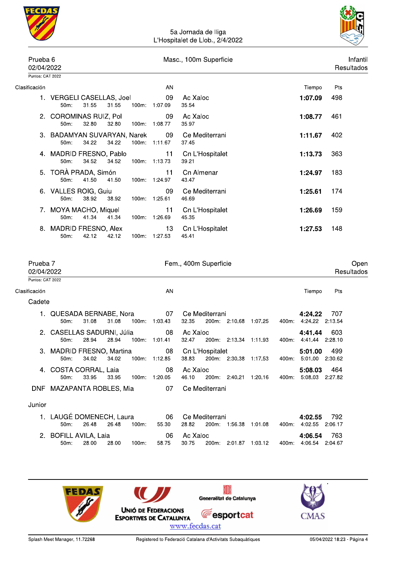

| Prueba 6<br>02/04/2022 |                                        |       |       |          |                     | Masc., 100m Superficie   |         | Infanti<br>Resultados |
|------------------------|----------------------------------------|-------|-------|----------|---------------------|--------------------------|---------|-----------------------|
| Puntos: CAT 2022       |                                        |       |       |          |                     |                          |         |                       |
| Clasificación          |                                        |       |       |          | AN                  |                          | Tiempo  | Pts                   |
|                        | 1. VERGELI CASELLAS, Joel<br>$50m$ :   | 31.55 | 31.55 | $100m$ : | 09<br>1:07.09       | Ac Xaloc<br>35.54        | 1:07.09 | 498                   |
|                        | 2. COROMINAS RUIZ, Pol<br>$50m$ :      | 32.80 | 32.80 | 100m:    | 09<br>1:08.77       | Ac Xaloc<br>35.97        | 1:08.77 | 461                   |
|                        | 3. BADAMYAN SUVARYAN, Narek<br>$50m$ : | 34.22 | 34.22 |          | 09<br>100m: 1:11.67 | Ce Mediterrani<br>37.45  | 1:11.67 | 402                   |
|                        | 4. MADRID FRESNO, Pablo<br>$50m$ :     | 34.52 | 34.52 |          | 11<br>100m: 1:13.73 | Cn L'Hospitalet<br>39.21 | 1:13.73 | 363                   |
|                        | 5. TORÀ PRADA, Simón<br>$50m$ :        | 41.50 | 41.50 |          | 11<br>100m: 1:24.97 | Cn Almenar<br>43.47      | 1:24.97 | 183                   |
|                        | 6. VALLES ROIG, Guiu<br>$50m$ :        | 38.92 | 38.92 |          | 09<br>100m: 1:25.61 | Ce Mediterrani<br>46.69  | 1:25.61 | 174                   |
|                        | 7. MOYA MACHO, Miquel<br>$50m$ :       | 41.34 | 41.34 | 100m:    | 11<br>1:26.69       | Cn L'Hospitalet<br>45.35 | 1:26.69 | 159                   |
| 8.                     | MADRID FRESNO, Alex<br>50m:            | 42.12 | 42.12 |          | 13<br>100m 1:27.53  | Cn L'Hospitalet<br>45.41 | 1:27.53 | 148                   |

| Prueba 7<br>02/04/2022 |                                                         |          | Fem., 400m Superficie |                   |                 |                       |         |       |                                  |                | Open<br>Resultados |
|------------------------|---------------------------------------------------------|----------|-----------------------|-------------------|-----------------|-----------------------|---------|-------|----------------------------------|----------------|--------------------|
| Puntos: CAT 2022       |                                                         |          |                       |                   |                 |                       |         |       |                                  |                |                    |
| Clasificación          |                                                         |          | AN                    |                   |                 |                       |         |       | Tiempo                           | Pts            |                    |
| Cadete                 |                                                         |          |                       |                   |                 |                       |         |       |                                  |                |                    |
|                        | 1. QUESADA BERNABE, Nora<br>31.08<br>31.08<br>$50m$ :   | 100m     | 07<br>1:03.43         | 32.35             | Ce Mediterrani  | 200m: 2:10.68         | 1:07.25 | 400m: | 4:24.22<br>4:24.22 2:13.54       | 707            |                    |
|                        | 2. CASELLAS SADURNI, Júlia<br>28.94<br>28.94<br>$50m$ : |          | 08<br>100m: 1:01.41   | Ac Xaloc<br>32.47 |                 | 200m: 2:13.34 1:11.93 |         | 400m: | 4:41.44<br>4:41.44 2:28.10       | 603            |                    |
|                        | 3. MADRID FRESNO, Martina<br>34.02<br>34.02<br>$50m$ :  |          | 08<br>100m: 1:12.85   | 38.83             | Cn L'Hospitalet | 200m: 2:30.38 1:17.53 |         |       | 5:01.00<br>400m: 5:01.00 2:30.62 | 499            |                    |
|                        | 4. COSTA CORRAL, Laia<br>33.95<br>$50m$ :<br>33.95      |          | 08<br>100m: 1:20.05   | Ac Xaloc<br>46.10 |                 | 200m: 2:40.21         | 1:20.16 | 400m: | 5:08.03<br>5:08.03               | 464<br>2:27.82 |                    |
|                        | DNF MAZAPANTA ROBLES, Mia                               |          | 07                    |                   | Ce Mediterrani  |                       |         |       |                                  |                |                    |
| Junior                 |                                                         |          |                       |                   |                 |                       |         |       |                                  |                |                    |
|                        | 1. LAUGÉ DOMENECH, Laura<br>26.48<br>26.48<br>$50m$ :   | $100m$ : | 06<br>55.30           | 28.82             | Ce Mediterrani  | 200m: 1:56.38         | 1:01.08 | 400m: | 4:02.55<br>4:02.55               | 792<br>2:06.17 |                    |
|                        | 2. BOFILL AVILA, Laia                                   |          | 06                    | Ac Xaloc          |                 |                       |         |       | 4:06.54                          | 763            |                    |



30.75

200m: 2:01.87 1:03.12

50m:

28.00

28.00

100m:

58.75

400m: 4:06.54 2:04.67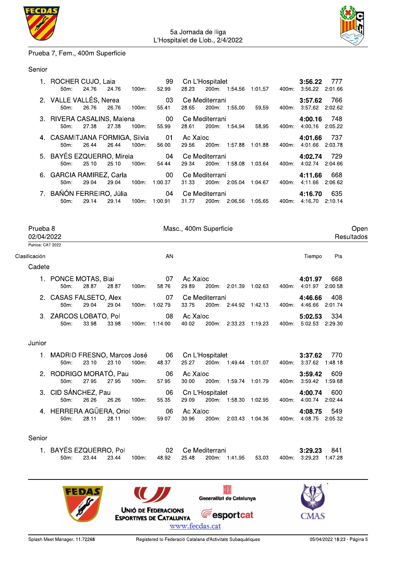



#### Prueba 7, Fem., 400m Superficie

#### Senior

| 1. ROCHER CUJO, Laia<br>$50m$ :                       | 24.76 | 24.76 | 100m:    | 99<br>52.99   | 28.23 | 200m:                      |         | Cn L'Hospitalet et al. et al. et al. et al. et al. et al. et al. et al. et al. et al. et al. et al. e<br>1:54.56  1:01.57  400m: |       | 3:56.22<br>3:56.22 | 777<br>2:01.66 |
|-------------------------------------------------------|-------|-------|----------|---------------|-------|----------------------------|---------|----------------------------------------------------------------------------------------------------------------------------------|-------|--------------------|----------------|
| 2. VALLE VALLÉS, Nerea 63<br>$50m$ :                  | 26.76 | 26.76 | 100m     | 55.41         | 28.65 | Ce Mediterrani<br>200m.    |         | 1:55.00 59.59 400m:                                                                                                              |       | 3:57.62<br>3.57.62 | 766<br>2:02.62 |
| 3. RIVERA CASALINS, Malena 00<br>$50m$ :              | 27.38 | 27.38 | $100m$ : | 55.99         | 28.61 | Ce Mediterrani<br>$200m$ : |         | 1:54.94 58.95 400m:                                                                                                              |       | 4:00.16<br>4.00.16 | 748<br>2:05.22 |
| 4. CASAMITJANA FORMIGA, Silvia 01 Ac Xaloc<br>$50m$ : | 26.44 | 26.44 | $100m$ : | 56.00         | 29.56 | $200m$ :                   | 1:57.88 | 1:01.88                                                                                                                          | 400m: | 4:01.66<br>4:01.66 | 737<br>2:03.78 |
| 5. BAYÉS EZQUERRO, Mireia 64<br>$50m$ :               | 25.10 | 25.10 | $100m$ : | 54.44         | 29.34 | Ce Mediterrani<br>200m:    | 1:58.08 | 1:03.64 400m:                                                                                                                    |       | 4:02.74<br>4:02.74 | 729<br>2:04.66 |
| 6. GARCIA RAMIREZ, Carla<br>$50m$ :                   | 29.04 | 29.04 | $100m$ : | 00<br>1:00.37 | 31.33 | Ce Mediterrani<br>200m:    | 2:05.04 | 1:04.67                                                                                                                          | 400m: | 4:11.66<br>4:11.66 | 668<br>2:06.62 |
| 7. BAÑÓN FERREIRO, Júlia (1944)<br>$50m$ :            | 29.14 | 29.14 | $100m$ : | 1:00.91       | 31.77 | Ce Mediterrani<br>$200m$ : | 2:06.56 | 1:05.65 400m:                                                                                                                    |       | 4:16.70<br>4:16.70 | 635<br>2:10.14 |

| Prueba 8<br>02/04/2022 |                                       |       |       |          | Masc., 400m Superficie |                   |                             |               |         |       |                    |                |  |
|------------------------|---------------------------------------|-------|-------|----------|------------------------|-------------------|-----------------------------|---------------|---------|-------|--------------------|----------------|--|
| Puntos: CAT 2022       |                                       |       |       |          |                        |                   |                             |               |         |       |                    |                |  |
| Clasificación          |                                       |       |       |          | AN                     |                   |                             |               |         |       | Tiempo             | Pts            |  |
| Cadete                 |                                       |       |       |          |                        |                   |                             |               |         |       |                    |                |  |
|                        | PONCE MOTAS, Blai<br>$50m$ :          | 28.87 | 28.87 | 100m     | 07<br>58.76            | Ac Xaloc<br>29.89 | $200m$ :                    | 2:01.39       | 1:02.63 | 400m: | 4:01.97<br>4.01.97 | 668<br>2:00.58 |  |
|                        | 2. CASAS FALSETO, Alex<br>$50m$ :     | 29.04 | 29.04 | $100m$ : | 07<br>1:02.79          | 33.75             | Ce Mediterrani              | 200m: 2:44.92 | 1:42.13 | 400m: | 4:46.66<br>4:46.66 | 408<br>2:01.74 |  |
|                        | 3. ZARCOS LOBATO, Pol<br>$50m$ :      | 33.98 | 33.98 | 100m:    | 08<br>1:14.00          | Ac Xaloc<br>40.02 | $200m$ :                    | 2:33.23       | 1:19.23 | 400m: | 5:02.53<br>5:02.53 | 334<br>2:29.30 |  |
| Junior                 |                                       |       |       |          |                        |                   |                             |               |         |       |                    |                |  |
|                        | MADRID FRESNO, Marcos José<br>$50m$ : | 23.10 | 23.10 | $100m$ : | 06<br>48.37            | 25.27             | Cn L'Hospitalet<br>$200m$ : | 1:49.44       | 1:01.07 | 400m: | 3:37.62<br>3:37.62 | 770<br>1:48.18 |  |
|                        | 2. RODRIGO MORATÓ, Pau                |       |       |          | 06                     | Ac Xaloc          |                             |               |         |       | 3:59.42            | 609            |  |

- RODRIGO MORATO 100m: 50m: 27.95 27.95 57.95
- 3. CID SÁNCHEZ, Pau 26.26 26.26 100m: 55.35 50m:
- 4. HERRERA AGÜERA, Oriol 50m: 28.11 28.11  $100m$ :

#### Senior

| 1. BAYÉS EZQUERRO, Pol |  |  | 02 Ce Mediterrani |  | <b>3:29.23</b> 841                                                           |  |
|------------------------|--|--|-------------------|--|------------------------------------------------------------------------------|--|
|                        |  |  |                   |  | 50m: 23.44 23.44 100m: 48.92 25.48 200m: 1:41.95 53.03 400m: 3:29.23 1:47.28 |  |

30.00

29.09

30.96

Ac Xaloc

Cn L'Hospitalet

06

06

59.07

200m: 1:59.74 1:01.79

200m: 1:58.30 1:02.95

200m: 2:03.43 1:04.36



400m: 3:59.42 1:59.68

4:00.74

400m: 4:00.74 2:02.44

4:08.75

400m: 4:08.75 2:05.32

600

549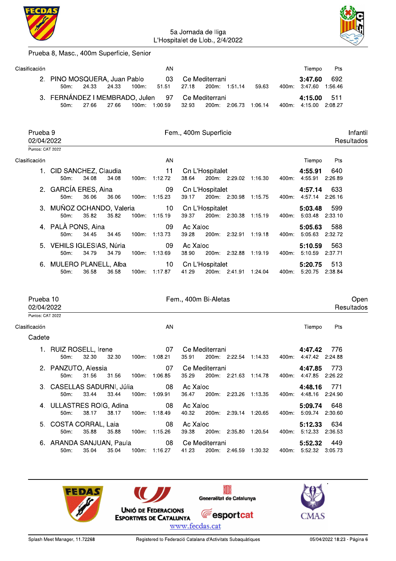



#### Prueba 8, Masc., 400m Superficie, Senior

| Clasificación |                                                           |        |       |       | ΑN                             |       |                                 |         |         | Tiempo                       | Pts              |
|---------------|-----------------------------------------------------------|--------|-------|-------|--------------------------------|-------|---------------------------------|---------|---------|------------------------------|------------------|
|               | 2. PINO MOSQUERA, Juan Pablo<br>50m:                      | 24.33  | 24.33 | 100m: | $\overline{03}$<br>51.51 27.18 |       | Ce Mediterrani<br>200m: 1:51.14 |         | 59.63   | 3:47.60<br>400m: 3:47.60     | - 692<br>1:56.46 |
|               | 3. FERNÁNDEZ I MEMBRADO, Julen 97 Ce Mediterrani<br>.50m: | 27.66. | 27.66 | 100m  | 1:00.59                        | 32.93 | 200m:                           | 2:06.73 | 1:06.14 | 4:15.00 511<br>400m: 4:15.00 | 2:08.27          |

02/04/2022 Puntos: CAT 2022 Fem., 400m Superficie

Infantil Resultados

| Clasificación |  |
|---------------|--|

| icación |                                      |       |       |          | AN                               |                          |       |               |         |       | Tiempo             | Pts            |
|---------|--------------------------------------|-------|-------|----------|----------------------------------|--------------------------|-------|---------------|---------|-------|--------------------|----------------|
|         | 1. CID SANCHEZ, Claudia<br>$50m$ :   | 34.08 | 34.08 | 100m:    | -11<br>1:12.72                   | Cn L'Hospitalet<br>38.64 |       | 200m: 2:29.02 | 1:16.30 | 400m: | 4:55.91<br>4:55.91 | 640<br>2:26.89 |
|         | 2. GARCÍA ERES, Aina<br>$50m$ :      | 36.06 | 36.06 |          | 09<br>100m: 1:15.23              | Cn L'Hospitalet<br>39.17 |       | 200m: 2:30.98 | 1:15.75 | 400m: | 4:57.14<br>4:57.14 | 633<br>2:26.16 |
|         | 3. MUÑOZ OCHANDO, Valeria<br>$50m$ : | 35.82 | 35.82 |          | $\overline{10}$<br>100m: 1:15.19 | Cn L'Hospitalet<br>39.37 |       | 200m: 2:30.38 | 1:15.19 | 400m: | 5:03.48<br>5:03.48 | 599<br>2:33.10 |
|         | 4. PALÀ PONS, Aina<br>$50m$ :        | 34.45 | 34.45 | $100m$ : | 09<br>1:13.73                    | Ac Xaloc<br>39.28        | 200m: | 2:32.91       | 1:19.18 | 400m: | 5:05.63<br>5:05.63 | 588<br>2:32.72 |
|         | 5. VEHILS IGLESIAS, Núria<br>$50m$ : | 34.79 | 34.79 | $100m$ : | 09<br>1:13.69                    | Ac Xaloc<br>38.90        | 200m: | 2:32.88       | 1:19.19 | 400m: | 5:10.59<br>5:10.59 | 563<br>2:37.71 |
|         | 6. MULERO PLANELL, Alba<br>50m:      | 36.58 | 36.58 | $100m$ : | -10<br>1:17.87                   | Cn L'Hospitalet<br>41.29 | 200m: | 2:41.91       | 1:24.04 | 400m: | 5:20.75<br>5:20.75 | 513<br>2:38.84 |

|                  | Prueba 10<br>02/04/2022               |       |       |       |                     | Fem., 400m Bi-Aletas |                |                       |         |       |                                  |                | Open<br>Resultados |
|------------------|---------------------------------------|-------|-------|-------|---------------------|----------------------|----------------|-----------------------|---------|-------|----------------------------------|----------------|--------------------|
| Puntos: CAT 2022 |                                       |       |       |       |                     |                      |                |                       |         |       |                                  |                |                    |
| Clasificación    |                                       |       |       |       | AN                  |                      |                |                       |         |       | Tiempo                           | Pts            |                    |
| Cadete           |                                       |       |       |       |                     |                      |                |                       |         |       |                                  |                |                    |
|                  | 1. RUIZ ROSELL, Irene<br>$50m$ :      | 32.30 | 32.30 | 100m. | 07<br>1:08.21       | 35.91                | Ce Mediterrani | 200m: 2:22.54 1:14.33 |         |       | 4:47.42<br>400m: 4:47.42 2:24.88 | 776            |                    |
|                  | 2. PANZUTO, Alessia<br>$50m$ :        | 31.56 | 31.56 | 100m: | 07<br>1:06.85       | 35.29                | Ce Mediterrani | 200m: 2:21.63 1:14.78 |         |       | 4:47.85<br>400m: 4:47.85         | 773<br>2:26.22 |                    |
|                  | 3. CASELLAS SADURNI, Júlia<br>$50m$ : | 33.44 | 33.44 |       | 08<br>100m: 1:09.91 | Ac Xaloc<br>36.47    |                | 200m: 2:23.26 1:13.35 |         | 400m: | 4:48.16<br>4:48.16 2:24.90       | - 771          |                    |
|                  | 4. ULLASTRES ROIG, Adina<br>$50m$ :   | 38.17 | 38.17 |       | 08<br>100m: 1:18.49 | Ac Xaloc<br>40.32    | 200m:          | 2:39.14               | 1:20.65 | 400m: | 5:09.74<br>5:09.74               | 648<br>2:30.60 |                    |
|                  | 5. COSTA CORRAL, Laia<br>$50m$ :      | 35.88 | 35.88 | 100m: | 08<br>1:15.26       | Ac Xaloc<br>39.38    | 200m:          | 2:35.80               | 1:20.54 | 400m: | 5:12.33<br>5:12.33               | 634<br>2:36.53 |                    |
|                  | 6. ARANDA SANJUAN, Paula<br>50m:      | 35.04 | 35.04 |       | 08<br>100m 1:16.27  | 41.23                | Ce Mediterrani | 200m: 2:46.59 1:30.32 |         |       | 5:52.32<br>400m: 5:52.32         | 449<br>3:05.73 |                    |

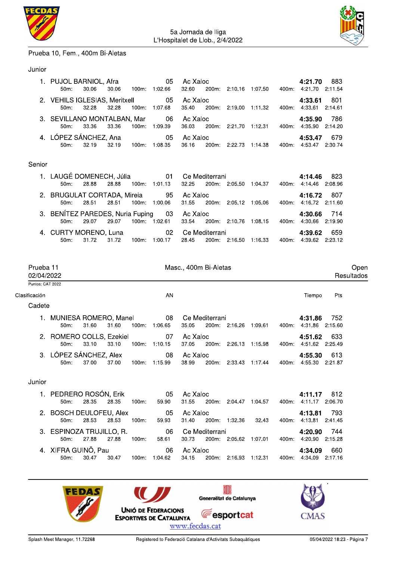



#### Prueba 10, Fem., 400m Bi-Aletas

#### Junior

|        | 1. PUJOL BARNIOL, Afra<br>30.06<br>$50m$ :                      |       |          | 05<br>30.06 100m: 1:02.66 | Ac Xaloc<br>32.60 |                | 200m: 2:10.16 1:07.50 400m:         |       | 4:21.70<br>4:21.70 | 883<br>2:11.54 |
|--------|-----------------------------------------------------------------|-------|----------|---------------------------|-------------------|----------------|-------------------------------------|-------|--------------------|----------------|
|        | 2. VEHILS IGLESIAS, Meritxell 05<br>32.28<br>$50m$ :            | 32.28 | $100m$ : | 1:07.68                   | Ac Xaloc<br>35.40 |                | 200m: 2:19.00 1:11.32               | 400m: | 4:33.61<br>4:33.61 | 801<br>2:14.61 |
|        | 3. SEVILLANO MONTALBAN, Mar 06 Ac Xaloc<br>33.36<br>$50m$ :     | 33.36 | $100m$ : | 1:09.39                   | 36.03             |                | 200m: 2:21.70 1:12.31 400m:         |       | 4:35.90<br>4.35.90 | 786<br>2:14.20 |
|        | 4. LÓPEZ SÁNCHEZ, Ana 65 Ac Xaloc<br>32.19<br>50 <sub>m</sub> : |       |          | 32.19 100m: 1:08.35       | 36.16             |                | 200m: 2:22.73 1:14.38 400m:         |       | 4:53.47<br>4:53.47 | 679<br>2:30.74 |
| Senior |                                                                 |       |          |                           |                   |                |                                     |       |                    |                |
|        | 1. LAUGÉ DOMENECH, Júlia 61 Ce Mediterrani<br>28.88<br>$50m$ :  | 28.88 |          | 100m: 1:01.13             | 32.25             |                | 200m: 2:05.50 1:04.37 400m: 4:14.46 |       | 4:14.46            | 823<br>2:08.96 |
|        | 2. BRUGULAT CORTADA, Mireia 95 Ac Xaloc<br>28.51<br>$50m$ :     | 28.51 | 100m:    | 1:00.06                   | 31.55             |                | 200m: 2:05.12 1:05.06 400m:         |       | 4:16.72<br>4:16.72 | 807<br>2:11.60 |
|        | 3. BENÍTEZ PAREDES, Nuria Fuping 03<br>29.07<br>$50m$ :         | 29.07 |          | 100m: 1:02.61             | Ac Xaloc<br>33.54 |                | 200m: 2:10.76 1:08.15               | 400m: | 4:30.66<br>4:30.66 | 714<br>2:19.90 |
|        | 4. CURTY MORENO, Luna 02<br>31.72<br>50m:                       | 31.72 |          | 100m: 1:00.17             | 28.45             | Ce Mediterrani | 200m: 2:16.50 1:16.33               | 400m: | 4:39.62<br>4 39 62 | 659<br>2:23.12 |

|                  | Prueba 11<br>02/04/2022             |       |       |          | Masc., 400m Bi-Aletas |                   |                |               |                 |       |                            | Open<br>Resultados |  |
|------------------|-------------------------------------|-------|-------|----------|-----------------------|-------------------|----------------|---------------|-----------------|-------|----------------------------|--------------------|--|
| Puntos: CAT 2022 |                                     |       |       |          |                       |                   |                |               |                 |       |                            |                    |  |
| Clasificación    |                                     |       |       |          | AN                    |                   |                |               |                 |       | Tiempo                     | Pts                |  |
| Cadete           |                                     |       |       |          |                       |                   |                |               |                 |       |                            |                    |  |
|                  | 1. MUNIESA ROMERO, Manel<br>$50m$ : | 31.60 | 31.60 | $100m$ : | 08<br>1:06.65         | 35.05             | Ce Mediterrani | 200m: 2:16.26 | 1:09.61         | 400m: | 4:31.86<br>4:31.86         | 752<br>2:15.60     |  |
|                  | 2. ROMERO COLLS, Ezekiel<br>50m:    | 33.10 | 33.10 | $100m$ : | 07<br>1:10.15         | Ac Xaloc<br>37.05 | $200m$ :       |               | 2:26.13 1:15.98 | 400m: | 4:51.62<br>4:51.62 2:25.49 | 633                |  |
|                  | 3. LÓPEZ SÁNCHEZ, Alex<br>$50m$ :   | 37.00 | 37.00 | 100m:    | 08<br>1:15.99         | Ac Xaloc<br>38.99 | 200m:          |               | 2:33.43 1:17.44 | 400m: | 4:55.30<br>4:55.30         | 613<br>2:21.87     |  |
| Junior           |                                     |       |       |          |                       |                   |                |               |                 |       |                            |                    |  |
|                  | 1. PEDRERO ROSÓN, Erik<br>50m:      | 28.35 | 28.35 | $100m$ : | 05<br>59.90           | Ac Xaloc<br>31.55 | 200m:          | 2:04.47       | 1:04.57         | 400m: | 4:11.17<br>4:11.17         | 812<br>2:06.70     |  |
|                  | 2. BOSCH DEULOFEU, Alex<br>50m:     | 28.53 | 28.53 | $100m$ : | 05<br>59.93           | Ac Xaloc<br>31.40 | 200m:          | 1:32.36       | 32.43           |       | 4:13.81<br>400m: 4:13.81   | 793<br>2:41.45     |  |

| 3. ESPINOZA TRUJILLO, R. |       |       |          |         |             | 06 Ce Mediterrani | 4:20.90               | - 744 |                       |       |
|--------------------------|-------|-------|----------|---------|-------------|-------------------|-----------------------|-------|-----------------------|-------|
| 50m:                     | 27.88 | 27.88 | $100m$ : | 58.61   | 30.73       |                   | 200m: 2:05.62 1:07.01 |       | 400m: 4:20.90 2:15.28 |       |
| 4. XIFRA GUINÖ, Pau      |       |       |          |         | 06 Ac Xaloc |                   |                       |       | 4:34.09               | - 660 |
| $50m$ :                  | 30.47 | 30.47 | 100m:    | 1:04.62 | 34.15       |                   | 200m: 2:16.93 1:12.31 |       | 400m: 4:34.09 2:17.16 |       |

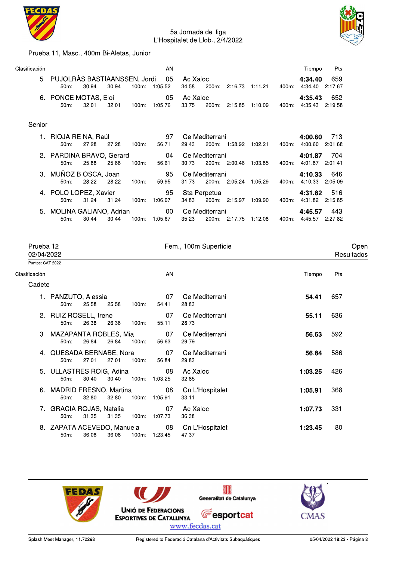



#### Prueba 11, Masc., 400m Bi-Aletas, Junior

| Clasificación |                                            |       |       |          | AN                  |                         |       |                       |         |       | Tiempo             | Pts            |
|---------------|--------------------------------------------|-------|-------|----------|---------------------|-------------------------|-------|-----------------------|---------|-------|--------------------|----------------|
|               | 5. PUJOLRÀS BASTIAANSSEN, Jordi<br>$50m$ : | 30.94 | 30.94 |          | 05<br>100m: 1:05.52 | Ac Xaloc<br>34.58       | 200m: |                       |         | 400m: | 4:34.40<br>4:34.40 | 659<br>2:17.67 |
|               | 6. PONCE MOTAS, Eloi<br>$50m$ :            | 32.01 | 32.01 | 100m     | 05<br>1:05.76       | Ac Xaloc<br>33.75       | 200m: | 2:15.85 1:10.09       |         | 400m: | 4:35.43<br>4:35.43 | 652<br>2:19.58 |
| Senior        |                                            |       |       |          |                     |                         |       |                       |         |       |                    |                |
|               | 1. RIOJA REINA, Raúl<br>$50m$ :            | 27.28 | 27.28 | $100m$ : | 97<br>56.71         | Ce Mediterrani<br>29.43 |       | 200m: 1:58.92 1:02.21 |         | 400m: | 4:00.60<br>4:00.60 | 713<br>2:01.68 |
|               | 2. PARDINA BRAVO, Gerard<br>$50m$ :        | 25.88 | 25.88 | $100m$ : | 04<br>56.61         | Ce Mediterrani<br>30.73 |       | 200m: 2:00.46         | 1:03.85 | 400m: | 4:01.87<br>4:01.87 | 704<br>2:01.41 |
|               | 3. MUÑOZ BIOSCA, Joan<br>$50m$ :           | 28.22 | 28.22 | $100m$ : | 95<br>59.95         | Ce Mediterrani<br>31.73 |       | 200m: 2:05.24         | 1:05.29 | 400m: | 4:10.33<br>4:10.33 | 646<br>2:05.09 |
|               | 4. POLO LOPEZ, Xavier<br>$50m$ :           | 31.24 | 31.24 | $100m$ : | 95<br>1:06.07       | Sta Perpetua<br>34.83   |       | 200m: 2:15.97         | 1:09.90 | 400m: | 4:31.82<br>4:31.82 | 516<br>2:15.85 |
|               | 5. MOLINA GALIANO, Adrian<br>$50m$ :       | 30.44 | 30.44 | $100m$ : | 00<br>1:05.67       | Ce Mediterrani<br>35.23 |       | 200m: 2:17.75         | 1:12.08 | 400m: | 4:45.57<br>4:45.57 | 443<br>2:27.82 |

|                  | Prueba 12<br>02/04/2022               |       |       |          |                     | Fem., 100m Superficie    |         | Open<br>Resultados |
|------------------|---------------------------------------|-------|-------|----------|---------------------|--------------------------|---------|--------------------|
| Puntos: CAT 2022 |                                       |       |       |          |                     |                          |         |                    |
| Clasificación    |                                       |       |       |          | AN                  |                          | Tiempo  | Pts                |
| Cadete           |                                       |       |       |          |                     |                          |         |                    |
|                  | 1. PANZUTO, Alessia<br>$50m$ :        | 25.58 | 25.58 | 100m     | 07<br>54.41         | Ce Mediterrani<br>28.83  | 54.41   | 657                |
|                  | 2. RUIZ ROSELL, Irene<br>$50m$ :      | 26.38 | 26.38 | 100m     | 07<br>55.11         | Ce Mediterrani<br>28.73  | 55.11   | 636                |
|                  | 3. MAZAPANTA ROBLES, Mia<br>$50m$ :   | 26.84 | 26.84 | $100m$ : | 07<br>56.63         | Ce Mediterrani<br>29.79  | 56.63   | 592                |
|                  | 4. QUESADA BERNABE, Nora<br>$50m$ :   | 27.01 | 27.01 | $100m$ : | 07<br>56.84         | Ce Mediterrani<br>29.83  | 56.84   | 586                |
|                  | 5. ULLASTRES ROIG, Adina<br>$50m$ :   | 30.40 | 30.40 | $100m$ : | 08<br>1:03.25       | Ac Xaloc<br>32.85        | 1:03.25 | 426                |
|                  | 6. MADRID FRESNO, Martina<br>$50m$ :  | 32.80 | 32.80 |          | 08<br>100m: 1:05.91 | Cn L'Hospitalet<br>33.11 | 1:05.91 | 368                |
|                  | 7. GRACIA ROJAS, Natalia<br>$50m$ :   | 31.35 | 31.35 | 100m:    | 07<br>1:07.73       | Ac Xaloc<br>36.38        | 1:07.73 | 331                |
|                  | 8. ZAPATA ACEVEDO, Manuela<br>$50m$ : | 36.08 | 36.08 |          | 08<br>100m: 1:23.45 | Cn L'Hospitalet<br>47.37 | 1:23.45 | 80                 |

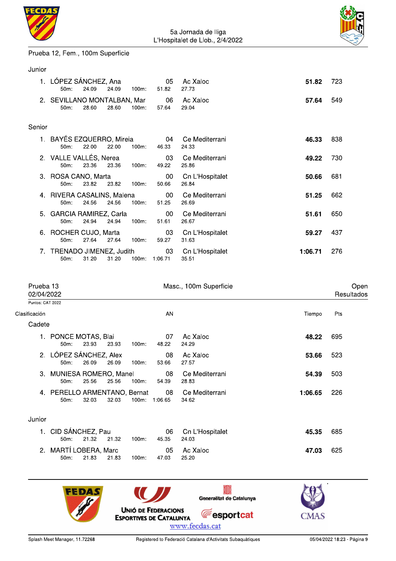



#### Prueba 12, Fem., 100m Superficie

#### Junior

|                                | LÓPEZ SÁNCHEZ, Ana<br>24.09<br>$50m$ :<br>24.09<br>$100m$ :         | 05<br>51.82   | Ac Xaloc<br>27.73        | 51.82   | 723 |
|--------------------------------|---------------------------------------------------------------------|---------------|--------------------------|---------|-----|
|                                | 2. SEVILLANO MONTALBAN, Mar<br>28.60<br>28.60<br>100m<br>$50m$ :    | 06<br>57.64   | Ac Xaloc<br>29.04        | 57.64   | 549 |
| Senior                         |                                                                     |               |                          |         |     |
|                                | 1. BAYÉS EZQUERRO, Mireia<br>22.00<br>22.00<br>$100m$ :<br>$50m$ :  | 04<br>46.33   | Ce Mediterrani<br>24.33  | 46.33   | 838 |
|                                | 2. VALLE VALLÉS, Nerea<br>23.36<br>23.36<br>$50m$ :<br>100m         | 03<br>49.22   | Ce Mediterrani<br>25.86  | 49.22   | 730 |
|                                | 3. ROSA CANO, Marta<br>23.82<br>23.82<br>$50m$ :<br>$100m$ :        | 00<br>50.66   | Cn L'Hospitalet<br>26.84 | 50.66   | 681 |
|                                | 4. RIVERA CASALINS, Malena<br>24.56<br>$50m$ :<br>24.56<br>$100m$ : | 00<br>51.25   | Ce Mediterrani<br>26.69  | 51.25   | 662 |
| 5.                             | <b>GARCIA RAMIREZ, Carla</b><br>24.94<br>$50m$ :<br>24.94<br>100m   | 00<br>51.61   | Ce Mediterrani<br>26.67  | 51.61   | 650 |
|                                | 6. ROCHER CUJO, Marta<br>27.64<br>27.64<br>100m<br>$50m$ :          | 03<br>59.27   | Cn L'Hospitalet<br>31.63 | 59.27   | 437 |
| $7_{\scriptscriptstyle{\sim}}$ | TRENADO JIMENEZ, Judith<br>50m:<br>31.20<br>31.20<br>$100m$ :       | 03<br>1:06.71 | Cn L'Hospitalet<br>35.51 | 1:06.71 | 276 |

| Prueba 13<br>02/04/2022                                               | Masc., 100m Superficie                  |         | Open<br>Resultados |
|-----------------------------------------------------------------------|-----------------------------------------|---------|--------------------|
| Puntos: CAT 2022                                                      |                                         |         |                    |
| Clasificación                                                         | AN                                      | Tiempo  | Pts                |
| Cadete                                                                |                                         |         |                    |
| 1. PONCE MOTAS, Blai<br>$50m$ :<br>23.93<br>$100m$ :<br>23.93         | Ac Xaloc<br>07<br>48.22<br>24.29        | 48.22   | 695                |
| 2. LÓPEZ SÁNCHEZ, Alex<br>26.09<br>26.09<br>$50m$ :<br>$100m$ :       | 08<br>Ac Xaloc<br>27.57<br>53.66        | 53.66   | 523                |
| 3. MUNIESA ROMERO, Manel<br>50m:<br>25.56<br>25.56<br>$100m$ :        | 08<br>Ce Mediterrani<br>28.83<br>54.39  | 54.39   | 503                |
| 4. PERELLO ARMENTANO, Bernat<br>32.03<br>32.03<br>$100m$ :<br>$50m$ : | 08 Ce Mediterrani<br>1:06.65<br>34.62   | 1:06.65 | 226                |
| Junior                                                                |                                         |         |                    |
| 1. CID SÁNCHEZ, Pau<br>21.32<br>21.32<br>$50m$ :<br>$100m$ :          | 06<br>Cn L'Hospitalet<br>45.35<br>24.03 | 45.35   | 685                |
| 2. MARTÍ LOBERA, Marc<br>21.83<br>21.83<br>$100m$ :<br>$50m$ :        | 05<br>Ac Xaloc<br>25.20<br>47.03        | 47.03   | 625                |

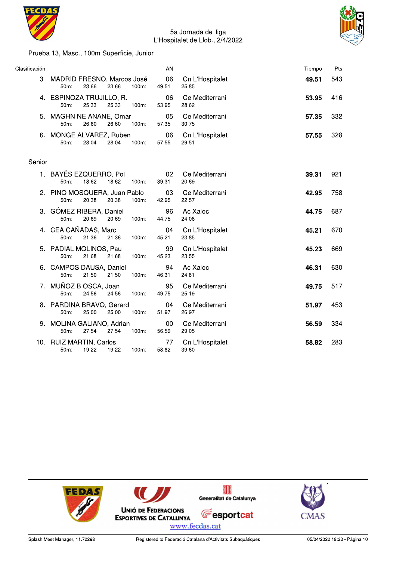



#### Prueba 13, Masc., 100m Superficie, Junior

| Clasificación |                                                                       | AN                       |                          | Tiempo | Pts |
|---------------|-----------------------------------------------------------------------|--------------------------|--------------------------|--------|-----|
|               | 3. MADRID FRESNO, Marcos José<br>23.66<br>23.66<br>100m:<br>$50m$ :   | 06<br>49.51              | Cn L'Hospitalet<br>25.85 | 49.51  | 543 |
|               | 4. ESPINOZA TRUJILLO, R.<br>25.33<br>25.33<br>$50m$ :<br>100m         | 06<br>53.95              | Ce Mediterrani<br>28.62  | 53.95  | 416 |
|               | 5. MAGHNINE ANANE, Omar<br>50m:<br>26.60<br>26.60<br>100m             | 05<br>57.35              | Ce Mediterrani<br>30.75  | 57.35  | 332 |
|               | 6. MONGE ALVAREZ, Ruben<br>28.04<br>28.04<br>100m:<br>50m:            | 06<br>57.55              | Cn L'Hospitalet<br>29.51 | 57.55  | 328 |
| Senior        |                                                                       |                          |                          |        |     |
|               | 1. BAYÉS EZQUERRO, Pol<br>18.62<br>50m:<br>18.62<br>$100m$ :          | 02 <sub>2</sub><br>39.31 | Ce Mediterrani<br>20.69  | 39.31  | 921 |
|               | 2. PINO MOSQUERA, Juan Pablo<br>20.38<br>$50m$ :<br>20.38<br>$100m$ : | 03<br>42.95              | Ce Mediterrani<br>22.57  | 42.95  | 758 |
|               | 3. GÓMEZ RIBERA, Daniel<br>20.69<br>50m:<br>20.69<br>100m:            | 96<br>44.75              | Ac Xaloc<br>24.06        | 44.75  | 687 |
|               | 4. CEA CAÑADAS, Marc<br>21.36<br>50m:<br>21.36<br>100m                | 04<br>45.21              | Cn L'Hospitalet<br>23.85 | 45.21  | 670 |
|               | 5. PADIAL MOLINOS, Pau<br>21.68<br>21.68<br>$50m$ :<br>$100m$ .       | 99<br>45.23              | Cn L'Hospitalet<br>23.55 | 45.23  | 669 |
|               | 6. CAMPOS DAUSA, Daniel<br>50m:<br>21.50<br>21.50<br>$100m$ :         | 94<br>46.31              | Ac Xaloc<br>24.81        | 46.31  | 630 |
|               | 7. MUÑOZ BIOSCA, Joan<br>50m:<br>24.56<br>24.56<br>$100m$ :           | 95<br>49.75              | Ce Mediterrani<br>25.19  | 49.75  | 517 |
|               | 8. PARDINA BRAVO, Gerard<br>50m:<br>25.00<br>25.00<br>100m:           | 04<br>51.97              | Ce Mediterrani<br>26.97  | 51.97  | 453 |
|               | 9. MOLINA GALIANO, Adrian<br>27.54<br>$50m$ :<br>27.54<br>$100m$ :    | $00\,$<br>56.59          | Ce Mediterrani<br>29.05  | 56.59  | 334 |
|               | 10. RUIZ MARTIN, Carlos<br>19.22<br>50m:<br>19.22<br>$100m$ :         | 77<br>58.82              | Cn L'Hospitalet<br>39.60 | 58.82  | 283 |

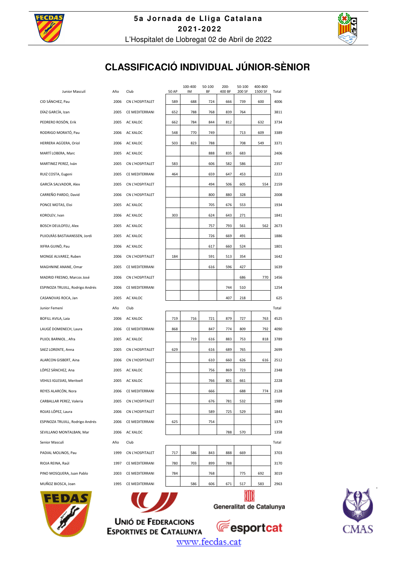



# **CLASSIFICACIÓ INDIVIDUAL JÚNIOR-SÈNIOR**

| Junior Masculí                   | Año  | Club            | 50 AP | 100-400<br>IM | 50-100<br>ΒF | $200 -$<br>400 BF | 50-100<br>200 SF | 400-800<br>1500 SF       | Total |
|----------------------------------|------|-----------------|-------|---------------|--------------|-------------------|------------------|--------------------------|-------|
| CID SÁNCHEZ, Pau                 | 2006 | CN L'HOSPITALET | 589   | 688           | 724          | 666               | 739              | 600                      | 4006  |
| DÍAZ GARCÍA, Izan                | 2005 | CE MEDITERRANI  | 652   | 788           | 768          | 839               | 764              |                          | 3811  |
| PEDRERO ROSÓN, Erik              | 2005 | AC XALOC        | 662   | 784           | 844          | 812               |                  | 632                      | 3734  |
| RODRIGO MORATÓ, Pau              | 2006 | AC XALOC        | 548   | 770           | 749          |                   | 713              | 609                      | 3389  |
| HERRERA AGÜERA, Oriol            | 2006 | AC XALOC        | 503   | 823           | 788          |                   | 708              | 549                      | 3371  |
| MARTÍ LOBERA, Marc               | 2005 | AC XALOC        |       |               | 888          | 835               | 683              |                          | 2406  |
| MARTINEZ PEREZ, Iván             | 2005 | CN L'HOSPITALET | 583   |               | 606          | 582               | 586              |                          | 2357  |
| RUIZ COSTA, Eugeni               | 2005 | CE MEDITERRANI  | 464   |               | 659          | 647               | 453              |                          | 2223  |
| GARCÍA SALVADOR, Alex            | 2005 | CN L'HOSPITALET |       |               | 494          | 506               | 605              | 554                      | 2159  |
| CARREÑO PARDO, David             | 2006 | CN L'HOSPITALET |       |               | 800          | 880               | 328              |                          | 2008  |
| PONCE MOTAS, Eloi                | 2005 | AC XALOC        |       |               | 705          | 676               | 553              |                          | 1934  |
| KOROLEV, Ivan                    | 2006 | AC XALOC        | 303   |               | 624          | 643               | 271              |                          | 1841  |
| BOSCH DEULOFEU, Alex             | 2005 | AC XALOC        |       |               | 757          | 793               | 561              | 562                      | 2673  |
| PUJOLRÁS BASTIAANSSEN, Jordi     | 2005 | AC XALOC        |       |               | 726          | 669               | 491              |                          | 1886  |
| XIFRA GUINÖ, Pau                 | 2006 | AC XALOC        |       |               | 617          | 660               | 524              |                          | 1801  |
| MONGE ALVAREZ, Ruben             | 2006 | CN L'HOSPITALET | 184   |               | 591          | 513               | 354              |                          | 1642  |
| MAGHNINE ANANE, Omar             | 2005 | CE MEDITERRANI  |       |               | 616          | 596               | 427              |                          | 1639  |
| MADRID FRESNO, Marcos José       | 2006 | CN L'HOSPITALET |       |               |              |                   | 686              | 770                      | 1456  |
| ESPINOZA TRUJILL, Rodrigo Andrés | 2006 | CE MEDITERRANI  |       |               |              | 744               | 510              |                          | 1254  |
| CASANOVAS ROCA, Jan              | 2005 | AC XALOC        |       |               |              | 407               | 218              |                          | 625   |
| Junior Femení                    | Año  | Club            |       |               |              |                   |                  |                          | Total |
| BOFILL AVILA, Laia               | 2006 | AC XALOC        | 719   | 716           | 721          | 879               | 727              | 763                      | 4525  |
| LAUGÉ DOMENECH, Laura            | 2006 | CE MEDITERRANI  | 868   |               | 847          | 774               | 809              | 792                      | 4090  |
| PUJOL BARNIOL, Afra              | 2005 | AC XALOC        |       | 719           | 616          | 883               | 753              | 818                      | 3789  |
| SAEZ LORENTE, Anna               | 2005 | CN L'HOSPITALET | 629   |               | 616          | 689               | 765              |                          | 2699  |
| ALARCON GISBERT, Aina            | 2006 | CN L'HOSPITALET |       |               | 610          | 660               | 626              | 616                      | 2512  |
| LÓPEZ SÁNCHEZ, Ana               | 2005 | AC XALOC        |       |               | 756          | 869               | 723              |                          | 2348  |
| VEHILS IGLESIAS, Meritxell       | 2005 | AC XALOC        |       |               | 766          | 801               | 661              |                          | 2228  |
| REYES ALARCÓN, Nora              | 2006 | CE MEDITERRANI  |       |               | 666          |                   | 688              | 774                      | 2128  |
| CARBALLAR PEREZ, Valeria         | 2005 | CN L'HOSPITALET |       |               | 676          | 781               | 532              |                          | 1989  |
| ROJAS LÓPEZ, Laura               | 2006 | CN L'HOSPITALET |       |               | 589          | 725               | 529              |                          | 1843  |
| ESPINOZA TRUJILL, Rodrigo Andrés | 2006 | CE MEDITERRANI  | 625   |               | 754          |                   |                  |                          | 1379  |
| SEVILLANO MONTALBAN, Mar         | 2006 | AC XALOC        |       |               |              | 788               | 570              |                          | 1358  |
| Senior Masculí                   | Año  | Club            |       |               |              |                   |                  |                          | Total |
| PADIAL MOLINOS, Pau              | 1999 | CN L'HOSPITALET | 717   | 586           | 843          | 888               | 669              |                          | 3703  |
| RIOJA REINA, Raúl                | 1997 | CE MEDITERRANI  | 780   | 703           | 899          | 788               |                  |                          | 3170  |
| PINO MOSQUERA, Juan Pablo        | 2003 | CE MEDITERRANI  | 784   |               | 768          |                   | 775              | 692                      | 3019  |
| MUÑOZ BIOSCA, Joan               | 1995 | CE MEDITERRANI  |       | 586           | 606          | 671               | 517              | 583                      | 2963  |
| FEDAS                            |      | $\bigcup$       |       |               |              |                   |                  | Generalitat de Catalunya |       |





**UNIÓ DE FEDERACIONS E**esportcat **ESPORTIVES DE CATALUNYA** www.fecdas.cat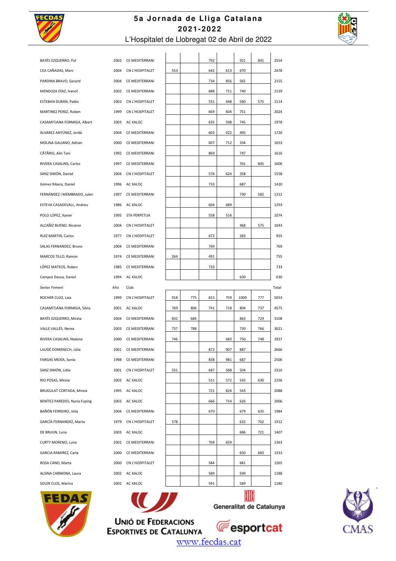

## **5a Jornada de Lliga Catalana 2 02 1-2 02 2**  L'Hospitalet de Llobregat 02 de Abril de 2022



| BAYÉS EZQUERRO, Pol           | 2002 | CE MEDITERRANI  |     |     | 792 |     | 921          | 841 | 2554  |
|-------------------------------|------|-----------------|-----|-----|-----|-----|--------------|-----|-------|
| CEA CAÑADAS, Marc             | 2004 | CN L'HOSPITALET | 553 |     | 642 | 613 | 670          |     | 2478  |
| PARDINA BRAVO, Gerard         | 2004 | CE MEDITERRANI  |     |     | 734 | 856 | 565          |     | 2155  |
| MENDOZA DÍAZ, Ivanof          | 2002 | CE MEDITERRANI  |     |     | 688 | 711 | 740          |     | 2139  |
| ESTEBAN DURÁN, Pablo          | 2003 | CN L'HOSPITALET |     |     | 531 | 448 | 560          | 575 | 2114  |
| MARTINEZ PEREZ, Ruben         | 1999 | CN L'HOSPITALET |     |     | 669 | 604 | 751          |     | 2024  |
| CASAMITJANA FORMIGA, Albert   | 2003 | AC XALOC        |     |     | 635 | 598 | 745          |     | 1978  |
| ÁLVAREZ ANTÚNEZ, Jordà        | 2004 | CE MEDITERRANI  |     |     | 603 | 622 | 495          |     | 1720  |
| MOLINA GALIANO, Adrian        | 2000 | CE MEDITERRANI  |     |     | 607 | 712 | 334          |     | 1653  |
| CÂTÂRIG, Alin Tani            | 1992 | CE MEDITERRANI  |     |     | 869 |     | 747          |     | 1616  |
| RIVERA CASALINS, Carlos       | 1997 | CE MEDITERRANI  |     |     |     |     | 761          | 845 | 1606  |
| SANZ SIMÓN, Daniel            | 2004 | CN L'HOSPITALET |     |     | 576 | 624 | 358          |     | 1558  |
| Gómez Ribera, Daniel          | 1996 | AC XALOC        |     |     | 733 |     | 687          |     | 1420  |
| FERNÁNDEZ i MEMBRADO, Julen   | 1997 | CE MEDITERRANI  |     |     |     |     | 730          | 582 | 1312  |
| ESTEVA CASADEVALL, Andreu     | 1986 | AC XALOC        |     |     | 604 | 689 |              |     | 1293  |
| POLO LOPEZ, Xavier            | 1995 | STA PERPETUA    |     |     | 558 | 516 |              |     | 1074  |
| ALCAÑIZ BUENO, Nicanor        | 2004 | CN L'HOSPITALET |     |     |     |     | 468          | 575 | 1043  |
| RUIZ MARTIN, Carlos           | 1977 | CN L'HOSPITALET |     |     | 672 |     | 283          |     | 955   |
| SALAS FERNANDEZ, Bruno        | 2004 | CE MEDITERRANI  |     |     | 769 |     |              |     | 769   |
| MARCOS TILLO, Ramon           | 1974 | CE MEDITERRANI  | 264 |     | 491 |     |              |     | 755   |
| LÓPEZ MATEOS, Ruben           | 1985 | CE MEDITERRANI  |     |     | 733 |     |              |     | 733   |
| Campos Dausa, Daniel          | 1994 | AC XALOC        |     |     |     |     | 630          |     | 630   |
| Senior Femení                 | Año  | Club            |     |     |     |     |              |     | Total |
| ROCHER CUJO, Laia             | 1999 | CN L'HOSPITALET | 918 | 775 | 815 | 759 | 1009         | 777 | 5053  |
| CASAMITJANA FORMIGA, Silvia   | 2001 | AC XALOC        | 769 | 806 | 741 | 718 | 804          | 737 | 4575  |
| BAYÉS EZQUERRO, Mireia        | 2004 | CE MEDITERRANI  | 832 | 684 |     |     | 863          | 729 | 3108  |
| VALLE VALLÉS, Nerea           | 2003 | CE MEDITERRANI  | 737 | 788 |     |     | 730          | 766 | 3021  |
| RIVERA CASALINS, Malena       | 2000 | CE MEDITERRANI  | 746 |     |     | 683 | 750          | 748 | 2927  |
| LAUGÉ DOMENECH, Júlia         | 2001 | CE MEDITERRANI  |     |     | 872 | 907 | 887          |     | 2666  |
| FARGAS MEXÍA, Sonia           | 1998 | CE MEDITERRANI  |     |     | 838 | 981 | 687          |     | 2506  |
| SANZ SIMÓN, Lidia             | 2001 | CN L'HOSPITALET | 551 |     | 687 | 568 | 504          |     | 2310  |
| RIO POSAS, Mireia             | 2003 | AC XALOC        |     |     | 511 | 572 | 543          | 630 | 2256  |
| BRUGULAT CORTADA, Mireia      | 1995 | AC XALOC        |     |     | 721 | 824 | 543          |     | 2088  |
| BENÍTEZ PAREDES, Nuria Fuping | 2003 | AC XALOC        |     |     | 666 | 714 | 626          |     | 2006  |
| BAÑÓN FERREIRO, Júlia         | 2004 | CE MEDITERRANI  |     |     | 670 |     | 679          | 635 | 1984  |
| GARCÍA FERNANDEZ, Marta       | 1979 | CN L'HOSPITALET | 578 |     |     |     | 632          | 702 | 1912  |
| DE BRUIJN, Luna               | 2003 | AC XALOC        |     |     |     |     | 686          | 721 | 1407  |
| CURTY MORENO, Luna            | 2002 | CE MEDITERRANI  |     |     | 704 | 659 |              |     | 1363  |
| GARCIA RAMIREZ, Carla         | 2000 | CE MEDITERRANI  |     |     |     |     | 650          | 683 | 1333  |
| ROSA CANO, Marta              | 2000 | CN L'HOSPITALET |     |     | 584 |     | 681          |     | 1265  |
| ALSINA CARMONA, Laura         | 2002 | AC XALOC        |     |     | 589 |     | 599          |     | 1188  |
| SOLER CLOS, Marina            | 2002 | AC XALOC        |     |     | 591 |     | 589          |     | 1180  |
|                               |      |                 |     |     |     |     | <b>ZHI</b> N |     |       |

**UNIÓ DE FEDERACIONS** 

**ESPORTIVES DE CATALUNYA** 



Generalitat de Catalunya





www.fecdas.cat